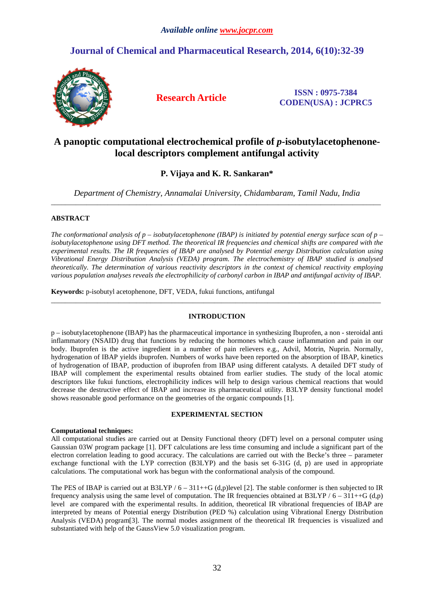# **Journal of Chemical and Pharmaceutical Research, 2014, 6(10):32-39**



**Research Article ISSN : 0975-7384 CODEN(USA) : JCPRC5**

# **A panoptic computational electrochemical profile of** *p-***isobutylacetophenonelocal descriptors complement antifungal activity**

**P. Vijaya and K. R. Sankaran\*** 

*Department of Chemistry, Annamalai University, Chidambaram, Tamil Nadu, India*  \_\_\_\_\_\_\_\_\_\_\_\_\_\_\_\_\_\_\_\_\_\_\_\_\_\_\_\_\_\_\_\_\_\_\_\_\_\_\_\_\_\_\_\_\_\_\_\_\_\_\_\_\_\_\_\_\_\_\_\_\_\_\_\_\_\_\_\_\_\_\_\_\_\_\_\_\_\_\_\_\_\_\_\_\_\_\_\_\_\_\_\_\_

## **ABSTRACT**

*The conformational analysis of p – isobutylacetophenone (IBAP) is initiated by potential energy surface scan of p – isobutylacetophenone using DFT method. The theoretical IR frequencies and chemical shifts are compared with the experimental results. The IR frequencies of IBAP are analysed by Potential energy Distribution calculation using Vibrational Energy Distribution Analysis (VEDA) program. The electrochemistry of IBAP studied is analysed theoretically. The determination of various reactivity descriptors in the context of chemical reactivity employing various population analyses reveals the electrophilicity of carbonyl carbon in IBAP and antifungal activity of IBAP.* 

**Keywords:** p-isobutyl acetophenone, DFT, VEDA, fukui functions, antifungal

## **INTRODUCTION**

\_\_\_\_\_\_\_\_\_\_\_\_\_\_\_\_\_\_\_\_\_\_\_\_\_\_\_\_\_\_\_\_\_\_\_\_\_\_\_\_\_\_\_\_\_\_\_\_\_\_\_\_\_\_\_\_\_\_\_\_\_\_\_\_\_\_\_\_\_\_\_\_\_\_\_\_\_\_\_\_\_\_\_\_\_\_\_\_\_\_\_\_\_

p – isobutylacetophenone (IBAP) has the pharmaceutical importance in synthesizing Ibuprofen, a non - steroidal anti inflammatory (NSAID) drug that functions by reducing the hormones which cause inflammation and pain in our body. Ibuprofen is the active ingredient in a number of pain relievers e.g., Advil, Motrin, Nuprin. Normally, hydrogenation of IBAP yields ibuprofen. Numbers of works have been reported on the absorption of IBAP, kinetics of hydrogenation of IBAP, production of ibuprofen from IBAP using different catalysts. A detailed DFT study of IBAP will complement the experimental results obtained from earlier studies. The study of the local atomic descriptors like fukui functions, electrophilicity indices will help to design various chemical reactions that would decrease the destructive effect of IBAP and increase its pharmaceutical utility. B3LYP density functional model shows reasonable good performance on the geometries of the organic compounds [1].

## **EXPERIMENTAL SECTION**

### **Computational techniques:**

All computational studies are carried out at Density Functional theory (DFT) level on a personal computer using Gaussian 03W program package [1]. DFT calculations are less time consuming and include a significant part of the electron correlation leading to good accuracy. The calculations are carried out with the Becke's three – parameter exchange functional with the LYP correction (B3LYP) and the basis set 6-31G (d, p) are used in appropriate calculations. The computational work has begun with the conformational analysis of the compound.

The PES of IBAP is carried out at B3LYP /  $6 - 311 + +G$  (d,p)level [2]. The stable conformer is then subjected to IR frequency analysis using the same level of computation. The IR frequencies obtained at  $B3LYP / 6 - 311 + +G$  (d,p) level are compared with the experimental results. In addition, theoretical IR vibrational frequencies of IBAP are interpreted by means of Potential energy Distribution (PED %) calculation using Vibrational Energy Distribution Analysis (VEDA) program[3]. The normal modes assignment of the theoretical IR frequencies is visualized and substantiated with help of the GaussView 5.0 visualization program.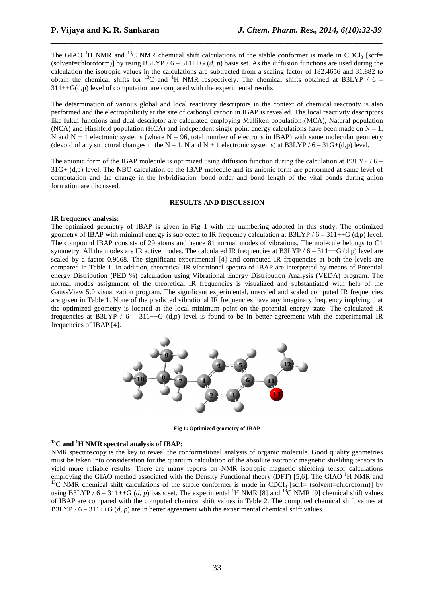The GIAO <sup>1</sup>H NMR and <sup>13</sup>C NMR chemical shift calculations of the stable conformer is made in CDCl<sub>3</sub> [scrf= (solvent=chloroform)] by using B3LYP  $/ 6 - 311++G$  (*d, p*) basis set. As the diffusion functions are used during the calculation the isotropic values in the calculations are subtracted from a scaling factor of 182.4656 and 31.882 to obtain the chemical shifts for  ${}^{13}$ C and <sup>1</sup>H NMR respectively. The chemical shifts obtained at B3LYP / 6 –  $311++G(d,p)$  level of computation are compared with the experimental results.

*\_\_\_\_\_\_\_\_\_\_\_\_\_\_\_\_\_\_\_\_\_\_\_\_\_\_\_\_\_\_\_\_\_\_\_\_\_\_\_\_\_\_\_\_\_\_\_\_\_\_\_\_\_\_\_\_\_\_\_\_\_\_\_\_\_\_\_\_\_\_\_\_\_\_\_\_\_\_*

The determination of various global and local reactivity descriptors in the context of chemical reactivity is also performed and the electrophilicity at the site of carbonyl carbon in IBAP is revealed. The local reactivity descriptors like fukui functions and dual descriptor are calculated employing Mulliken population (MCA), Natural population (NCA) and Hirshfeld population (HCA) and independent single point energy calculations have been made on  $N - 1$ , N and  $N + 1$  electronic systems (where  $N = 96$ , total number of electrons in IBAP) with same molecular geometry (devoid of any structural changes in the  $N - 1$ , N and  $N + 1$  electronic systems) at B3LYP / 6 – 31G+(d,p) level.

The anionic form of the IBAP molecule is optimized using diffusion function during the calculation at B3LYP  $/6 -$ 31G+ (d,p) level. The NBO calculation of the IBAP molecule and its anionic form are performed at same level of computation and the change in the hybridisation, bond order and bond length of the vital bonds during anion formation are discussed.

### **RESULTS AND DISCUSSION**

#### **IR frequency analysis:**

The optimized geometry of IBAP is given in Fig 1 with the numbering adopted in this study. The optimized geometry of IBAP with minimal energy is subjected to IR frequency calculation at B3LYP /  $6 - 311 + +G$  (d,p) level. The compound IBAP consists of 29 atoms and hence 81 normal modes of vibrations. The molecule belongs to C1 symmetry. All the modes are IR active modes. The calculated IR frequencies at  $B3LYP / 6 - 311++G(d,p)$  level are scaled by a factor 0.9668. The significant experimental [4] and computed IR frequencies at both the levels are compared in Table 1. In addition, theoretical IR vibrational spectra of IBAP are interpreted by means of Potential energy Distribution (PED %) calculation using Vibrational Energy Distribution Analysis (VEDA) program. The normal modes assignment of the theoretical IR frequencies is visualized and substantiated with help of the GaussView 5.0 visualization program. The significant experimental, unscaled and scaled computed IR frequencies are given in Table 1. None of the predicted vibrational IR frequencies have any imaginary frequency implying that the optimized geometry is located at the local minimum point on the potential energy state. The calculated IR frequencies at B3LYP /  $6 - 311 + G$  (d,p) level is found to be in better agreement with the experimental IR frequencies of IBAP [4].



**Fig 1: Optimized geometry of IBAP** 

### **<sup>13</sup>C and <sup>1</sup>H NMR spectral analysis of IBAP:**

NMR spectroscopy is the key to reveal the conformational analysis of organic molecule. Good quality geometries must be taken into consideration for the quantum calculation of the absolute isotropic magnetic shielding tensors to yield more reliable results. There are many reports on NMR isotropic magnetic shielding tensor calculations employing the GIAO method associated with the Density Functional theory (DFT) [5,6]. The GIAO  $^{1}$ H NMR and <sup>13</sup>C NMR chemical shift calculations of the stable conformer is made in CDCl<sub>3</sub> [scrf= (solvent=chloroform)] by using B3LYP /  $6 - 311++G$  (*d, p*) basis set. The experimental <sup>1</sup>H NMR [8] and <sup>13</sup>C NMR [9] chemical shift values of IBAP are compared with the computed chemical shift values in Table 2. The computed chemical shift values at B3LYP / 6 – 311++G (*d, p*) are in better agreement with the experimental chemical shift values.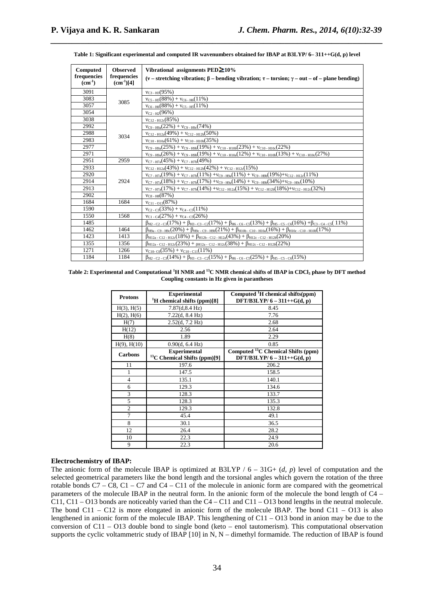|  |  |  | Table 1: Significant experimental and computed IR wavenumbers obtained for IBAP at B3LYP/ 6– 311++G(d, p) level |  |  |
|--|--|--|-----------------------------------------------------------------------------------------------------------------|--|--|
|--|--|--|-----------------------------------------------------------------------------------------------------------------|--|--|

*\_\_\_\_\_\_\_\_\_\_\_\_\_\_\_\_\_\_\_\_\_\_\_\_\_\_\_\_\_\_\_\_\_\_\_\_\_\_\_\_\_\_\_\_\_\_\_\_\_\_\_\_\_\_\_\_\_\_\_\_\_\_\_\_\_\_\_\_\_\_\_\_\_\_\_\_\_\_*

| Computed                   | <b>Observed</b>               | Vibrational assignments $\text{PED} \geq 10\%$                                                                                                      |
|----------------------------|-------------------------------|-----------------------------------------------------------------------------------------------------------------------------------------------------|
| frequencies<br>$(cm^{-1})$ | frequencies<br>$(cm^{-1})[4]$ | (v – stretching vibration; $\beta$ – bending vibration; $\tau$ – torsion; $\gamma$ – out – of – plane bending)                                      |
| 3091                       |                               | $v_{C3-H3}(95%)$                                                                                                                                    |
| 3083                       | 3085                          | $v_{C5-H5}(88%) + v_{C6-H6}(11%)$                                                                                                                   |
| 3057                       |                               | $v_{C6-H6}(88%) + v_{C5-H5}(11%)$                                                                                                                   |
| 3054                       |                               | $v_{C2-H2}(96%)$                                                                                                                                    |
| 3038                       |                               | $v_{C12-H12c}(85%)$                                                                                                                                 |
| 2992                       |                               | $v_{C9-H9a}(22\%) + v_{C9-H9c}(74\%)$                                                                                                               |
| 2988                       | 3034                          | $v_{C12-H12a}(49%) + v_{C12-H12b}(50%)$                                                                                                             |
| 2983                       |                               | $v_{C10-H10a}(61\%) + v_{C10-H10b}(35\%)$                                                                                                           |
| 2977                       |                               | $v_{C9-H9a}(25%) + v_{C9-H9b}(19%) + v_{C10-H10b}(23%) + v_{C10-H10c}(22%)$                                                                         |
| 2971                       |                               | $v_{C9- H9a}(26%) + v_{C9-H9b}(19%) + v_{C10-H10a}(12%) + v_{C10-H10b}(13%) + v_{C10-H10c}(27%)$                                                    |
| 2951                       | 2959                          | $v_{C7-H7a}(45%) + v_{C7-H7b}(49%)$                                                                                                                 |
| 2933                       |                               | $V_{C12-H12a}(43%) + V_{C12-H12b}(42%) + V_{C12-H12c}(15%)$                                                                                         |
| 2920                       |                               | $v_{C7-H7a}(19\%) + v_{C7-H7b}(11\%) + v_{C9-H9a}(11\%) + v_{C9-H9b}(19\%) + v_{C12-H12c}(11\%)$                                                    |
| 2914                       | 2924                          | $v_{C7-H7a}(18\%) + v_{C7-H7b}(17\%) + v_{C9-H9a}(14\%) + v_{C9-H9b}(34\%) + v_{C9-H9c}(10\%)$                                                      |
| 2913                       |                               | $v_{C7-H7a}(17\%) + v_{C7-H7b}(14\%) + v_{C12-H12a}(15\%) + v_{C12-H12b}(18\%) + v_{C12-H12c}(32\%)$                                                |
| 2902                       |                               | $v_{\text{CS - HS}}(87\%)$                                                                                                                          |
| 1684                       | 1684                          | $v_{C11-013}(87%)$                                                                                                                                  |
| 1590                       |                               | $v_{C2-C3}(33%) + v_{C4-C5}(11%)$                                                                                                                   |
| 1550                       | 1568                          | $v_{C1-C4}(27%) + v_{C4-C5}(26%)$                                                                                                                   |
| 1485                       |                               | $\beta_{H2}$ - c2 - c3(17%) + $\beta_{H3}$ - c3 - c2(17%) + $\beta_{H6}$ - c6 - cs(13%) + $\beta_{H5}$ - cs - c6(16%) + $\beta_{C3}$ - c4 - c5(11%) |
| 1462                       | 1464                          | $\beta_{H9a}$ - C9 - H9c(20%) + $\beta_{H9c}$ - C9 - H9b(21%) + $\beta_{H10b}$ - C10 - H10a(16%) + $\beta_{H10c}$ - C10 - H10b(17%)                 |
| 1423                       | 1413                          | $\beta_{\text{H12a - C12 - H12c}}(18\%) + \beta_{\text{H12b - C12 - H12a}}(43\%) + \beta_{\text{H12c - C12 - H12b}}(20\%)$                          |
| 1355                       | 1356                          | $\beta_{H12a}$ - C12 - H12c(23%) + $_{\beta H12a}$ - C12 - H12c(38%) + $\beta_{H12c}$ - C12 - H12b(22%)                                             |
| 1271                       | 1266                          | $v_{C10-C6}(35%) + v_{C10-C11}(11%)$                                                                                                                |
| 1184                       | 1184                          | $\beta_{H2-C2-C3}(14\%) + \beta_{H3-C3-C2}(15\%) + \beta_{H6-C6-C5}(25\%) + \beta_{H5-C5-C6}(15\%)$                                                 |

#### **Table 2: Experimental and Computational <sup>1</sup>H NMR and <sup>13</sup>C NMR chemical shifts of IBAP in CDCl3 phase by DFT method Coupling constants in Hz given in parantheses**

| <b>Protons</b>   | <b>Experimental</b><br><sup>1</sup> H chemical shifts (ppm)[8]  | Computed ${}^{1}H$ chemical shifts(ppm)<br>DFT/B3LYP/6 - 311++ $G(d, p)$    |
|------------------|-----------------------------------------------------------------|-----------------------------------------------------------------------------|
| $H(3)$ , $H(5)$  | 7.87(d, 8.4 Hz)                                                 | 8.45                                                                        |
| $H(2)$ , $H(6)$  | 7.22(d, 8.4 Hz)                                                 | 7.76                                                                        |
| H(7)             | 2.52(d, 7.2 Hz)                                                 | 2.68                                                                        |
| H(12)            | 2.56                                                            | 2.64                                                                        |
| H(8)             | 1.89                                                            | 2.29                                                                        |
| $H(9)$ , $H(10)$ | 0.90(d, 6.4 Hz)                                                 | 0.85                                                                        |
| <b>Carbons</b>   | <b>Experimental</b><br><sup>13</sup> C Chemical Shifts (ppm)[9] | Computed ${}^{13}$ C Chemical Shifts (ppm)<br>DFT/B3LYP/6 - 311++ $G(d, p)$ |
| 11               | 197.6                                                           | 206.2                                                                       |
| 1                | 147.5                                                           | 158.5                                                                       |
| $\overline{4}$   | 135.1                                                           | 140.1                                                                       |
| 6                | 129.3                                                           | 134.6                                                                       |
| 3                | 128.3                                                           | 133.7                                                                       |
| 5                | 128.3                                                           | 135.3                                                                       |
| $\overline{2}$   | 129.3                                                           | 132.8                                                                       |
| $\overline{7}$   | 45.4                                                            | 49.1                                                                        |
| 8                | 30.1                                                            | 36.5                                                                        |
| 12               | 26.4                                                            | 28.2                                                                        |
| 10               | 22.3                                                            | 24.9                                                                        |
| 9                | 22.3                                                            | 20.6                                                                        |

### **Electrochemistry of IBAP:**

The anionic form of the molecule IBAP is optimized at B3LYP  $/ 6 - 31G + (d, p)$  level of computation and the selected geometrical parameters like the bond length and the torsional angles which govern the rotation of the three rotable bonds  $C7 - C8$ ,  $C1 - C7$  and  $C4 - C11$  of the molecule in anionic form are compared with the geometrical parameters of the molecule IBAP in the neutral form. In the anionic form of the molecule the bond length of C4 – C11, C11 – O13 bonds are noticeably varied than the C4 – C11 and C11 – O13 bond lengths in the neutral molecule. The bond  $C11 - C12$  is more elongated in anionic form of the molecule IBAP. The bond  $C11 - O13$  is also lengthened in anionic form of the molecule IBAP. This lengthening of C11 – O13 bond in anion may be due to the conversion of C11 – O13 double bond to single bond (keto – enol tautomerism). This computational observation supports the cyclic voltammetric study of IBAP [10] in N, N – dimethyl formamide. The reduction of IBAP is found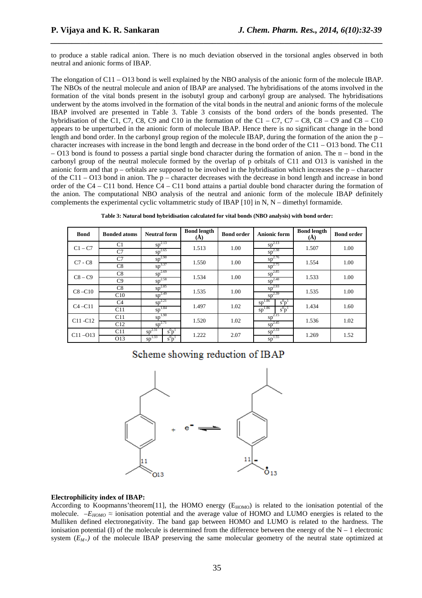to produce a stable radical anion. There is no much deviation observed in the torsional angles observed in both neutral and anionic forms of IBAP.

*\_\_\_\_\_\_\_\_\_\_\_\_\_\_\_\_\_\_\_\_\_\_\_\_\_\_\_\_\_\_\_\_\_\_\_\_\_\_\_\_\_\_\_\_\_\_\_\_\_\_\_\_\_\_\_\_\_\_\_\_\_\_\_\_\_\_\_\_\_\_\_\_\_\_\_\_\_\_*

The elongation of C11 – O13 bond is well explained by the NBO analysis of the anionic form of the molecule IBAP. The NBOs of the neutral molecule and anion of IBAP are analysed. The hybridisations of the atoms involved in the formation of the vital bonds present in the isobutyl group and carbonyl group are analysed. The hybridisations underwent by the atoms involved in the formation of the vital bonds in the neutral and anionic forms of the molecule IBAP involved are presented in Table 3. Table 3 consists of the bond orders of the bonds presented. The hybridisation of the C1, C7, C8, C9 and C10 in the formation of the C1 – C7, C7 – C8, C8 – C9 and C8 – C10 appears to be unperturbed in the anionic form of molecule IBAP. Hence there is no significant change in the bond length and bond order. In the carbonyl group region of the molecule IBAP, during the formation of the anion the p – character increases with increase in the bond length and decrease in the bond order of the C11 – O13 bond. The C11  $-$  O13 bond is found to possess a partial single bond character during the formation of anion. The  $\pi$  – bond in the carbonyl group of the neutral molecule formed by the overlap of p orbitals of C11 and O13 is vanished in the anionic form and that  $p -$  orbitals are supposed to be involved in the hybridisation which increases the  $p -$  character of the C11 – O13 bond in anion. The p – character decreases with the decrease in bond length and increase in bond order of the C4 – C11 bond. Hence C4 – C11 bond attains a partial double bond character during the formation of the anion. The computational NBO analysis of the neutral and anionic form of the molecule IBAP definitely complements the experimental cyclic voltammetric study of IBAP  $[10]$  in N, N – dimethyl formamide.

| Table 3: Natural bond hybridisation calculated for vital bonds (NBO analysis) with bond order: |  |
|------------------------------------------------------------------------------------------------|--|
|                                                                                                |  |

| <b>Bond</b>                      | <b>Bonded atoms</b>              | <b>Neutral form</b>                               | <b>Bond length</b><br>$(\dot{A})$ | <b>Bond order</b> | <b>Anionic form</b>                               | <b>Bond length</b><br>(A) | <b>Bond order</b> |
|----------------------------------|----------------------------------|---------------------------------------------------|-----------------------------------|-------------------|---------------------------------------------------|---------------------------|-------------------|
| $C1 - C7$                        | C <sub>1</sub><br>C <sub>7</sub> | $sp^{2.13}$<br>$sp^{2.65}$                        | 1.513                             | 1.00              | $sp^{2.13}$<br>$sp^{2.38}$                        | 1.507                     | 1.00              |
| $C7 - C8$                        | C7<br>C8                         | $sp^{2.90}$<br>$sp^{3.37}$                        | 1.550                             | 1.00              | $sp^{2.76}$<br>$sp^{2.75}$                        | 1.554                     | 1.00              |
| $C8 - C9$                        | C8<br>C9                         | $sp^{2.69}$<br>$sp^{2.58}$                        | 1.534                             | 1.00              | $sp^{2.85}$<br>$sp^{2.48}$                        | 1.533                     | 1.00              |
| $C8 - C10$                       | C8<br>C10                        | $sp^{2.85}$<br>$sp^{2.49}$                        | 1.535                             | 1.00              | $sp^{2.93}$<br>$sp^{2.39}$                        | 1.535                     | 1.00              |
| $C4 - C11$                       | C <sub>4</sub><br>C11            | $sp^{2.21}$<br>$sp^{1.84}$                        | 1.497                             | 1.02              | 1.86<br>$s^0p^1$<br>sp<br>$sp^{1.86}$<br>$s^0p^1$ | 1.434                     | 1.60              |
| C <sub>11</sub> -C <sub>12</sub> | C11<br>C12                       | $sp^{1.90}$<br>$sp^{2.71}$                        | 1.520                             | 1.02              | $sp^{2.15}$<br>$sp^{2.45}$                        | 1.536                     | 1.02              |
| $C11 - O13$                      | C11<br>O13                       | $sp^{2.31}$<br>$s^0p^1$<br>1.33<br>$s^0p^1$<br>sp | 1.222                             | 2.07              | $sp^{2.33}$<br>$sp^{1.55}$                        | 1.269                     | 1.52              |

# Scheme showing reduction of IBAP



#### **Electrophilicity index of IBAP:**

According to Koopmanns'theorem[11], the HOMO energy (E<sub>HOMO</sub>) is related to the ionisation potential of the molecule.  $-E_{HOMO} \approx$  ionisation potential and the average value of HOMO and LUMO energies is related to the Mulliken defined electronegativity. The band gap between HOMO and LUMO is related to the hardness. The ionisation potential (I) of the molecule is determined from the difference between the energy of the  $N - 1$  electronic system  $(E_{M+})$  of the molecule IBAP preserving the same molecular geometry of the neutral state optimized at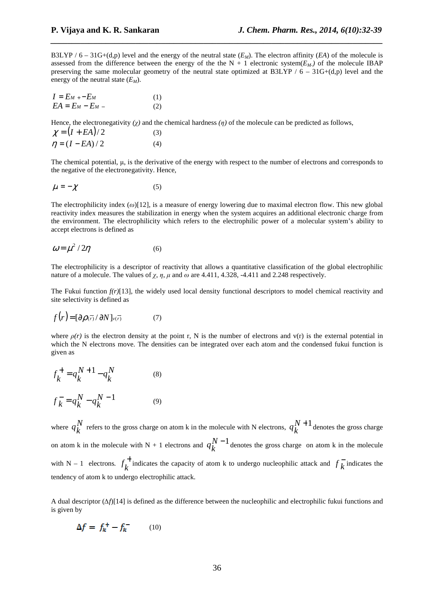B3LYP /  $6 - 31G+(d,p)$  level and the energy of the neutral state  $(E_M)$ . The electron affinity (*EA*) of the molecule is assessed from the difference between the energy of the the  $N + 1$  electronic system( $E_M$ ) of the molecule IBAP preserving the same molecular geometry of the neutral state optimized at B3LYP  $/ 6 - 31G+(d,p)$  level and the energy of the neutral state (*EM*).

*\_\_\_\_\_\_\_\_\_\_\_\_\_\_\_\_\_\_\_\_\_\_\_\_\_\_\_\_\_\_\_\_\_\_\_\_\_\_\_\_\_\_\_\_\_\_\_\_\_\_\_\_\_\_\_\_\_\_\_\_\_\_\_\_\_\_\_\_\_\_\_\_\_\_\_\_\_\_*

$$
I = E_M + -E_M
$$
  
\n
$$
EA = E_M - E_M - (1)
$$
  
\n(1)  
\n(2)

Hence, the electronegativity  $(\chi)$  and the chemical hardness  $(\eta)$  of the molecule can be predicted as follows,

$$
\chi = (I + EA)/2 \tag{3}
$$
  
\n
$$
\eta = (I - EA)/2 \tag{4}
$$

The chemical potential,  $\mu$ , is the derivative of the energy with respect to the number of electrons and corresponds to the negative of the electronegativity. Hence,

$$
\mu = -\chi \tag{5}
$$

The electrophilicity index (*ω*)[12], is a measure of energy lowering due to maximal electron flow. This new global reactivity index measures the stabilization in energy when the system acquires an additional electronic charge from the environment. The electrophilicity which refers to the electrophilic power of a molecular system's ability to accept electrons is defined as

$$
\omega = \mu^2 / 2\eta \tag{6}
$$

The electrophilicity is a descriptor of reactivity that allows a quantitative classification of the global electrophilic nature of a molecule. The values of  $χ$ ,  $η$ ,  $μ$  and  $ω$  are 4.411, 4.328, -4.411 and 2.248 respectively.

The Fukui function *f(r)*[13], the widely used local density functional descriptors to model chemical reactivity and site selectivity is defined as

$$
f(r) = [\partial \rho(\vec{r}) / \partial N]_{v(\vec{r})}
$$
 (7)

where  $\rho(r)$  is the electron density at the point r, N is the number of electrons and v(r) is the external potential in which the N electrons move. The densities can be integrated over each atom and the condensed fukui function is given as

$$
f_k^+ = q_k^{N+1} - q_k^N \tag{8}
$$

$$
f_k^- = q_k^N - q_k^{N-1}
$$
 (9)

where  $q_k^N$ *k* refers to the gross charge on atom k in the molecule with N electrons,  $q_k^N$ *k*  $+1$  denotes the gross charge on atom k in the molecule with N + 1 electrons and  $q_k^N$ *k* −1 denotes the gross charge on atom k in the molecule with N – 1 electrons.  $f_t^+$  $f_k^+$  indicates the capacity of atom k to undergo nucleophilic attack and  $f_k^-$  indicates the tendency of atom k to undergo electrophilic attack.

A dual descriptor (*∆f*)[14] is defined as the difference between the nucleophilic and electrophilic fukui functions and is given by

$$
\Delta f = f_k^+ - f_k^- \qquad (10)
$$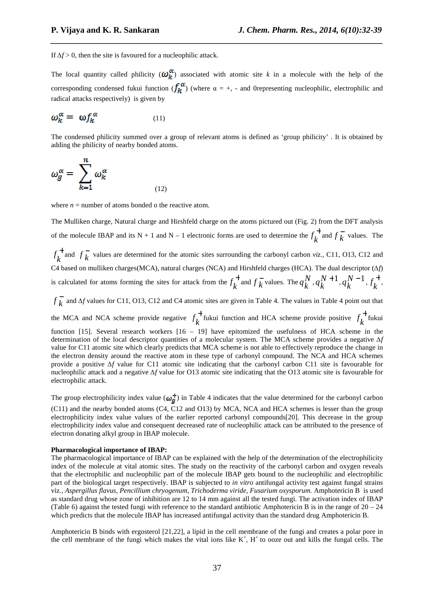If  $\Delta f$  > 0, then the site is favoured for a nucleophilic attack.

The local quantity called philicity  $(\omega_k^{\alpha})$  associated with atomic site k in a molecule with the help of the corresponding condensed fukui function  $(f_k^{\alpha})$  (where  $\alpha = +, -$  and 0representing nucleophilic, electrophilic and radical attacks respectively) is given by

*\_\_\_\_\_\_\_\_\_\_\_\_\_\_\_\_\_\_\_\_\_\_\_\_\_\_\_\_\_\_\_\_\_\_\_\_\_\_\_\_\_\_\_\_\_\_\_\_\_\_\_\_\_\_\_\_\_\_\_\_\_\_\_\_\_\_\_\_\_\_\_\_\_\_\_\_\_\_*

$$
\omega_k^{\alpha} = \omega f_k^{\alpha} \tag{11}
$$

The condensed philicity summed over a group of relevant atoms is defined as 'group philicity' . It is obtained by adding the philicity of nearby bonded atoms.

$$
\omega_g^{\alpha} = \sum_{k=1}^{n} \omega_k^{\alpha} \tag{12}
$$

where  $n =$  number of atoms bonded o the reactive atom.

The Mulliken charge, Natural charge and Hirshfeld charge on the atoms pictured out (Fig. 2) from the DFT analysis of the molecule IBAP and its N + 1 and N – 1 electronic forms are used to determine the  $f_k^+$  and  $f_k^-$  values. The +  $f_k^+$  and  $f_k^-$  values are determined for the atomic sites surrounding the carbonyl carbon *viz.*, C11, O13, C12 and C4 based on mulliken charges(MCA), natural charges (NCA) and Hirshfeld charges (HCA). The dual descriptor (*∆f*) is calculated for atoms forming the sites for attack from the  $f_k^+$  and  $f_k^-$  values. The  $q_k^N$  $\binom{N}{k}$ ,  $q_k^N$ *k*  $+1, q_{k}^{N}$ *k*  $^{-1}$ ,  $f_{\iota}^{+}$  $f_k^{\dagger}$ ,

 $f_k$  and *∆f* values for C11, O13, C12 and C4 atomic sites are given in Table 4. The values in Table 4 point out that the MCA and NCA scheme provide negative  $f_k^+$  fukui function and HCA scheme provide positive  $f_k^+$  fukui function [15]. Several research workers [16 – 19] have epitomized the usefulness of HCA scheme in the determination of the local descriptor quantities of a molecular system. The MCA scheme provides a negative *∆f*  value for C11 atomic site which clearly predicts that MCA scheme is not able to effectively reproduce the change in the electron density around the reactive atom in these type of carbonyl compound. The NCA and HCA schemes provide a positive *∆f* value for C11 atomic site indicating that the carbonyl carbon C11 site is favourable for nucleophilic attack and a negative *∆f* value for O13 atomic site indicating that the O13 atomic site is favourable for electrophilic attack.

The group electrophilicity index value ( $\omega_g^+$ ) in Table 4 indicates that the value determined for the carbonyl carbon

(C11) and the nearby bonded atoms (C4, C12 and O13) by MCA, NCA and HCA schemes is lesser than the group electrophilicity index value values of the earlier reported carbonyl compounds[20]. This decrease in the group electrophilicity index value and consequent decreased rate of nucleophilic attack can be attributed to the presence of electron donating alkyl group in IBAP molecule.

#### **Pharmacological importance of IBAP:**

The pharmacological importance of IBAP can be explained with the help of the determination of the electrophilicity index of the molecule at vital atomic sites. The study on the reactivity of the carbonyl carbon and oxygen reveals that the electrophilic and nucleophilic part of the molecule IBAP gets bound to the nucleophilic and electrophilic part of the biological target respectively. IBAP is subjected to *in vitro* antifungal activity test against fungal strains viz*., Aspergillus flavus, Pencillium chryogenum, Trichoderma viride, Fusarium oxysporum.* Amphotericin B is used as standard drug whose zone of inhibition are 12 to 14 mm against all the tested fungi. The activation index of IBAP (Table 6) against the tested fungi with reference to the standard antibiotic Amphotericin B is in the range of  $20 - 24$ which predicts that the molecule IBAP has increased antifungal activity than the standard drug Amphotericin B.

Amphotericin B binds with ergosterol [21,22], a lipid in the cell membrane of the fungi and creates a polar pore in the cell membrane of the fungi which makes the vital ions like  $K^+$ ,  $H^+$  to ooze out and kills the fungal cells. The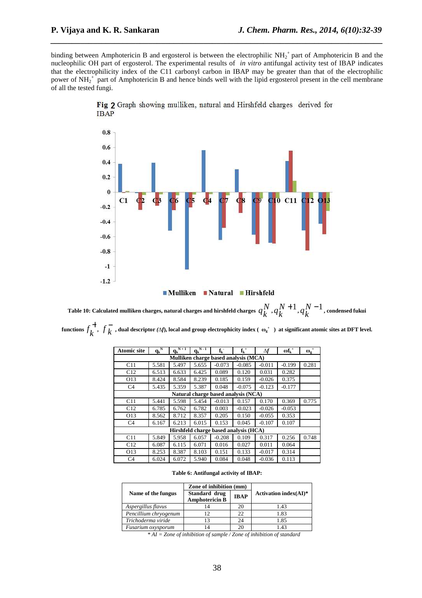binding between Amphotericin B and ergosterol is between the electrophilic  $NH_2^+$  part of Amphotericin B and the nucleophilic OH part of ergosterol. The experimental results of *in vitro* antifungal activity test of IBAP indicates that the electrophilicity index of the C11 carbonyl carbon in IBAP may be greater than that of the electrophilic power of  $NH_2^+$  part of Amphotericin B and hence binds well with the lipid ergosterol present in the cell membrane of all the tested fungi.

*\_\_\_\_\_\_\_\_\_\_\_\_\_\_\_\_\_\_\_\_\_\_\_\_\_\_\_\_\_\_\_\_\_\_\_\_\_\_\_\_\_\_\_\_\_\_\_\_\_\_\_\_\_\_\_\_\_\_\_\_\_\_\_\_\_\_\_\_\_\_\_\_\_\_\_\_\_\_*



Fig 2 Graph showing mulliken, natural and Hirshfeld charges derived for **IBAP** 

Table 10: Calculated mulliken charges, natural charges and hirshfeld charges  $\,q_{L}^{N}\,$  $\begin{array}{c} N \\ k \end{array}$ ,  $q_k^N$ *k*  $+1, q_{k}^{N}$ *k* −1 **, condensed fukui**  functions  $f_k^+$ ,  $f_k^-$ , dual descriptor (Δf), local and group electrophicity index ( $\omega_g^*$ ) at significant atomic sites at DFT level.

| <b>Atomic site</b>                    | $q_k^N$                              | $N+1$<br>$q_k$ | $N-1$<br>$q_k$ | $f_k$                               | $f_k^+$  | Λf       | $\omega f_k^+$ | $\omega_{\rm g}^{\;\;+}$ |  |
|---------------------------------------|--------------------------------------|----------------|----------------|-------------------------------------|----------|----------|----------------|--------------------------|--|
|                                       | Mulliken charge based analysis (MCA) |                |                |                                     |          |          |                |                          |  |
| C11                                   | 5.581                                | 5.497          | 5.655          | $-0.073$                            | $-0.085$ | $-0.011$ | $-0.199$       | 0.281                    |  |
| C12                                   | 6.513                                | 6.633          | 6.425          | 0.089                               | 0.120    | 0.031    | 0.282          |                          |  |
| O13                                   | 8.424                                | 8.584          | 8.239          | 0.185                               | 0.159    | $-0.026$ | 0.375          |                          |  |
| C <sub>4</sub>                        | 5.435                                | 5.359          | 5.387          | 0.048                               | $-0.075$ | $-0.123$ | $-0.177$       |                          |  |
|                                       |                                      |                |                | Natural charge based analysis (NCA) |          |          |                |                          |  |
| C11                                   | 5.441                                | 5.598          | 5.454          | $-0.013$                            | 0.157    | 0.170    | 0.369          | 0.775                    |  |
| C12                                   | 6.785                                | 6.762          | 6.782          | 0.003                               | $-0.023$ | $-0.026$ | $-0.053$       |                          |  |
| O13                                   | 8.562                                | 8.712          | 8.357          | 0.205                               | 0.150    | $-0.055$ | 0.353          |                          |  |
| C <sub>4</sub>                        | 6.167                                | 6.213          | 6.015          | 0.153                               | 0.045    | $-0.107$ | 0.107          |                          |  |
| Hirshfeld charge based analysis (HCA) |                                      |                |                |                                     |          |          |                |                          |  |
| C11                                   | 5.849                                | 5.958          | 6.057          | $-0.208$                            | 0.109    | 0.317    | 0.256          | 0.748                    |  |
| C12                                   | 6.087                                | 6.115          | 6.071          | 0.016                               | 0.027    | 0.011    | 0.064          |                          |  |
| O13                                   | 8.253                                | 8.387          | 8.103          | 0.151                               | 0.133    | $-0.017$ | 0.314          |                          |  |
| C <sub>4</sub>                        | 6.024                                | 6.072          | 5.940          | 0.084                               | 0.048    | $-0.036$ | 0.113          |                          |  |

**Table 6: Antifungal activity of IBAP:** 

|                       | Zone of inhibition (mm)                |             | Activation index $(AI)^*$ |  |
|-----------------------|----------------------------------------|-------------|---------------------------|--|
| Name of the fungus    | Standard drug<br><b>Amphotericin B</b> | <b>IBAP</b> |                           |  |
| Aspergillus flavus    | 14                                     | 20          | 1.43                      |  |
| Pencillium chryogenum | 12                                     | 22          | 1.83                      |  |
| Trichoderma viride    | 13                                     | 24          | 1.85                      |  |
| Fusarium oxysporum    |                                        |             | 1.43                      |  |

*\* AI = Zone of inhibition of sample / Zone of inhibition of standard*